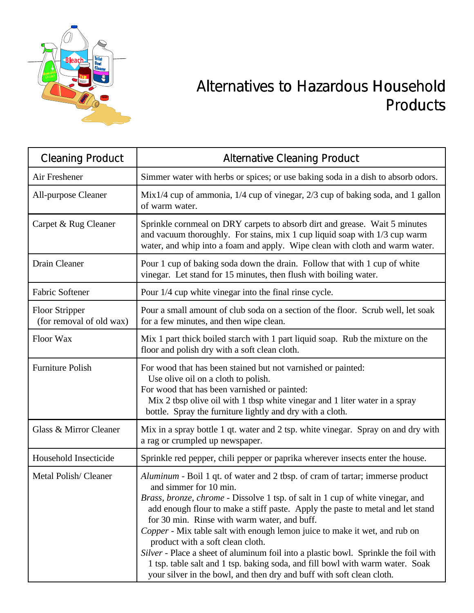

## Alternatives to Hazardous Household Products

| <b>Cleaning Product</b>                           | <b>Alternative Cleaning Product</b>                                                                                                                                                                                                                                                                                                                                                                                                                                                                                                                                                                                                                                                            |
|---------------------------------------------------|------------------------------------------------------------------------------------------------------------------------------------------------------------------------------------------------------------------------------------------------------------------------------------------------------------------------------------------------------------------------------------------------------------------------------------------------------------------------------------------------------------------------------------------------------------------------------------------------------------------------------------------------------------------------------------------------|
| Air Freshener                                     | Simmer water with herbs or spices; or use baking soda in a dish to absorb odors.                                                                                                                                                                                                                                                                                                                                                                                                                                                                                                                                                                                                               |
| All-purpose Cleaner                               | Mix1/4 cup of ammonia, $1/4$ cup of vinegar, $2/3$ cup of baking soda, and 1 gallon<br>of warm water.                                                                                                                                                                                                                                                                                                                                                                                                                                                                                                                                                                                          |
| Carpet & Rug Cleaner                              | Sprinkle cornmeal on DRY carpets to absorb dirt and grease. Wait 5 minutes<br>and vacuum thoroughly. For stains, mix 1 cup liquid soap with 1/3 cup warm<br>water, and whip into a foam and apply. Wipe clean with cloth and warm water.                                                                                                                                                                                                                                                                                                                                                                                                                                                       |
| Drain Cleaner                                     | Pour 1 cup of baking soda down the drain. Follow that with 1 cup of white<br>vinegar. Let stand for 15 minutes, then flush with boiling water.                                                                                                                                                                                                                                                                                                                                                                                                                                                                                                                                                 |
| Fabric Softener                                   | Pour 1/4 cup white vinegar into the final rinse cycle.                                                                                                                                                                                                                                                                                                                                                                                                                                                                                                                                                                                                                                         |
| <b>Floor Stripper</b><br>(for removal of old wax) | Pour a small amount of club soda on a section of the floor. Scrub well, let soak<br>for a few minutes, and then wipe clean.                                                                                                                                                                                                                                                                                                                                                                                                                                                                                                                                                                    |
| Floor Wax                                         | Mix 1 part thick boiled starch with 1 part liquid soap. Rub the mixture on the<br>floor and polish dry with a soft clean cloth.                                                                                                                                                                                                                                                                                                                                                                                                                                                                                                                                                                |
| <b>Furniture Polish</b>                           | For wood that has been stained but not varnished or painted:<br>Use olive oil on a cloth to polish.<br>For wood that has been varnished or painted:<br>Mix 2 tbsp olive oil with 1 tbsp white vinegar and 1 liter water in a spray<br>bottle. Spray the furniture lightly and dry with a cloth.                                                                                                                                                                                                                                                                                                                                                                                                |
| Glass & Mirror Cleaner                            | Mix in a spray bottle 1 qt. water and 2 tsp. white vinegar. Spray on and dry with<br>a rag or crumpled up newspaper.                                                                                                                                                                                                                                                                                                                                                                                                                                                                                                                                                                           |
| Household Insecticide                             | Sprinkle red pepper, chili pepper or paprika wherever insects enter the house.                                                                                                                                                                                                                                                                                                                                                                                                                                                                                                                                                                                                                 |
| Metal Polish/Cleaner                              | Aluminum - Boil 1 qt. of water and 2 tbsp. of cram of tartar; immerse product<br>and simmer for 10 min.<br>Brass, bronze, chrome - Dissolve 1 tsp. of salt in 1 cup of white vinegar, and<br>add enough flour to make a stiff paste. Apply the paste to metal and let stand<br>for 30 min. Rinse with warm water, and buff.<br>Copper - Mix table salt with enough lemon juice to make it wet, and rub on<br>product with a soft clean cloth.<br>Silver - Place a sheet of aluminum foil into a plastic bowl. Sprinkle the foil with<br>1 tsp. table salt and 1 tsp. baking soda, and fill bowl with warm water. Soak<br>your silver in the bowl, and then dry and buff with soft clean cloth. |